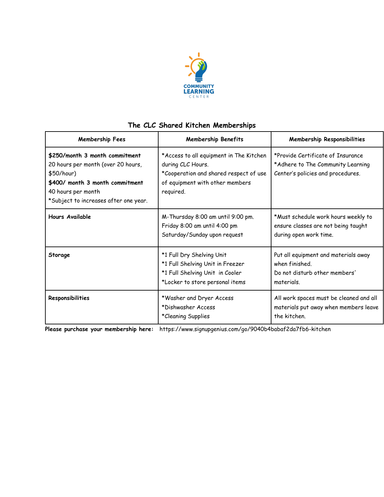

## **The CLC Shared Kitchen Memberships**

| <b>Membership Fees</b>                                                                                                                                                               | <b>Membership Benefits</b>                                                                                                                             | Membership Responsibilities                                                                                 |
|--------------------------------------------------------------------------------------------------------------------------------------------------------------------------------------|--------------------------------------------------------------------------------------------------------------------------------------------------------|-------------------------------------------------------------------------------------------------------------|
| \$250/month 3 month commitment<br>20 hours per month (over 20 hours,<br>\$50/hour)<br>\$400/ month 3 month commitment<br>40 hours per month<br>*Subject to increases after one year. | *Access to all equipment in The Kitchen<br>during CLC Hours.<br>*Cooperation and shared respect of use<br>of equipment with other members<br>required. | *Provide Certificate of Insurance<br>*Adhere to The Community Learning<br>Center's policies and procedures. |
| Hours Available                                                                                                                                                                      | M-Thursday 8:00 am until 9:00 pm.<br>Friday 8:00 am until 4:00 pm<br>Saturday/Sunday upon request                                                      | *Must schedule work hours weekly to<br>ensure classes are not being taught<br>during open work time.        |
| Storage                                                                                                                                                                              | *1 Full Dry Shelving Unit<br>*1 Full Shelving Unit in Freezer<br>*1 Full Shelving Unit in Cooler<br>*Locker to store personal items                    | Put all equipment and materials away<br>when finished.<br>Do not disturb other members'<br>materials.       |
| Responsibilities                                                                                                                                                                     | *Washer and Dryer Access<br>*Dishwasher Access<br>*Cleaning Supplies                                                                                   | All work spaces must be cleaned and all<br>materials put away when members leave<br>the kitchen.            |

**Please purchase your membership here:** https://www.signupgenius.com/go/9040b4babaf2da7fb6-kitchen